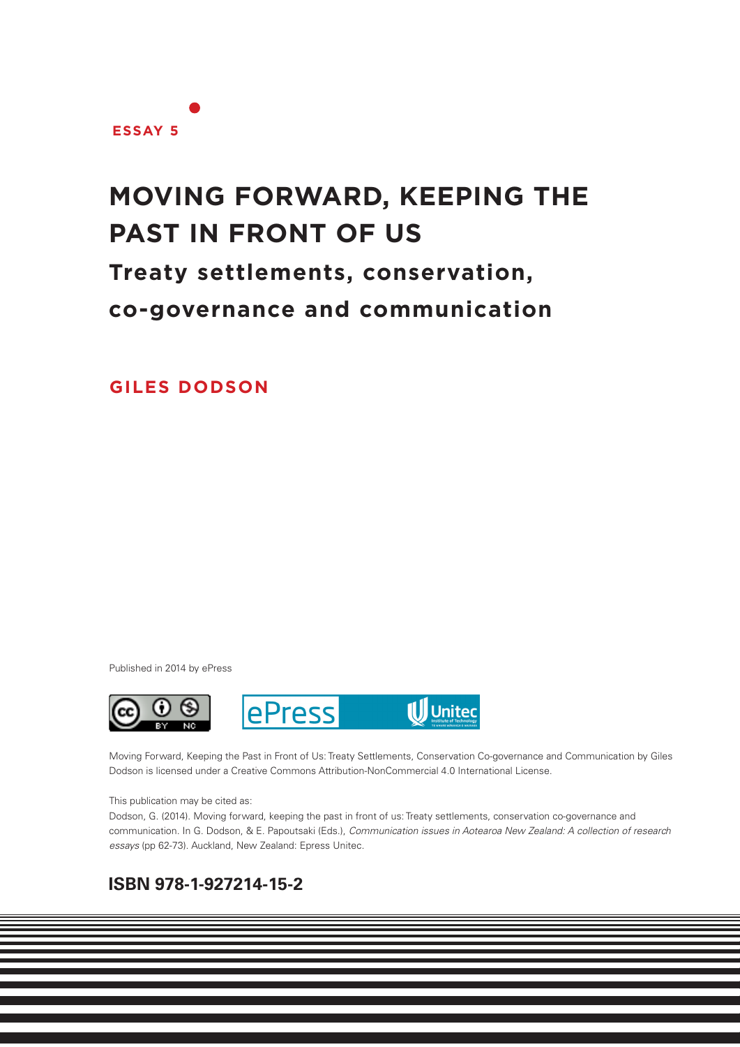

# **MOVING FORWARD, KEEPING THE PAST IN FRONT OF US**

**Treaty settlements, conservation,**

**co-governance and communication**

**GILES DODSON**

Published in 2014 by ePress



Moving Forward, Keeping the Past in Front of Us: Treaty Settlements, Conservation Co-governance and Communication by Giles Dodson is licensed under a Creative Commons Attribution-NonCommercial 4.0 International License.

#### This publication may be cited as:

Dodson, G. (2014). Moving forward, keeping the past in front of us: Treaty settlements, conservation co-governance and communication. In G. Dodson, & E. Papoutsaki (Eds.), *Communication issues in Aotearoa New Zealand: A collection of research essays* (pp 62-73). Auckland, New Zealand: Epress Unitec.

**1**

## **ISBN 978-1-927214-15-2**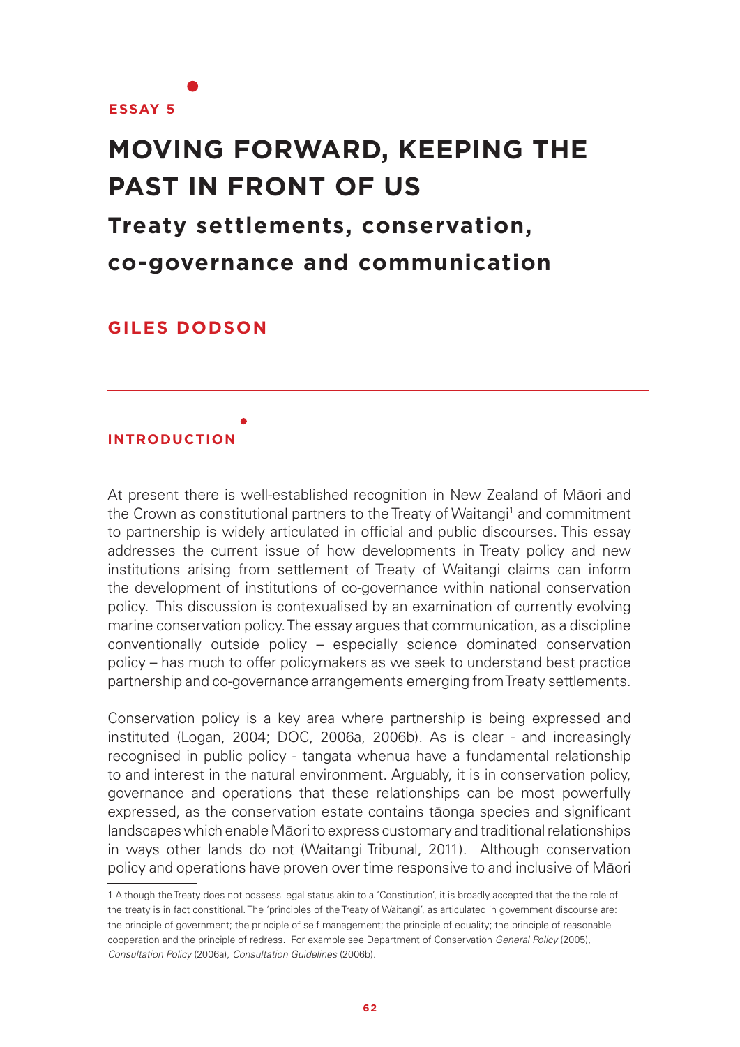

# **MOVING FORWARD, KEEPING THE PAST IN FRONT OF US Treaty settlements, conservation, co-governance and communication**

**GILES DODSON**

### **INTRODUCTION**

At present there is well-established recognition in New Zealand of Māori and the Crown as constitutional partners to the Treaty of Waitangi<sup>1</sup> and commitment to partnership is widely articulated in official and public discourses. This essay addresses the current issue of how developments in Treaty policy and new institutions arising from settlement of Treaty of Waitangi claims can inform the development of institutions of co-governance within national conservation policy. This discussion is contexualised by an examination of currently evolving marine conservation policy. The essay argues that communication, as a discipline conventionally outside policy – especially science dominated conservation policy – has much to offer policymakers as we seek to understand best practice partnership and co-governance arrangements emerging from Treaty settlements.

Conservation policy is a key area where partnership is being expressed and instituted (Logan, 2004; DOC, 2006a, 2006b). As is clear - and increasingly recognised in public policy - tangata whenua have a fundamental relationship to and interest in the natural environment. Arguably, it is in conservation policy, governance and operations that these relationships can be most powerfully expressed, as the conservation estate contains tāonga species and significant landscapes which enable Māori to express customary and traditional relationships in ways other lands do not (Waitangi Tribunal, 2011). Although conservation policy and operations have proven over time responsive to and inclusive of Māori

<sup>1</sup> Although the Treaty does not possess legal status akin to a 'Constitution', it is broadly accepted that the the role of the treaty is in fact constitional. The 'principles of the Treaty of Waitangi', as articulated in government discourse are: the principle of government; the principle of self management; the principle of equality; the principle of reasonable cooperation and the principle of redress. For example see Department of Conservation *General Policy* (2005), *Consultation Policy* (2006a), *Consultation Guidelines* (2006b).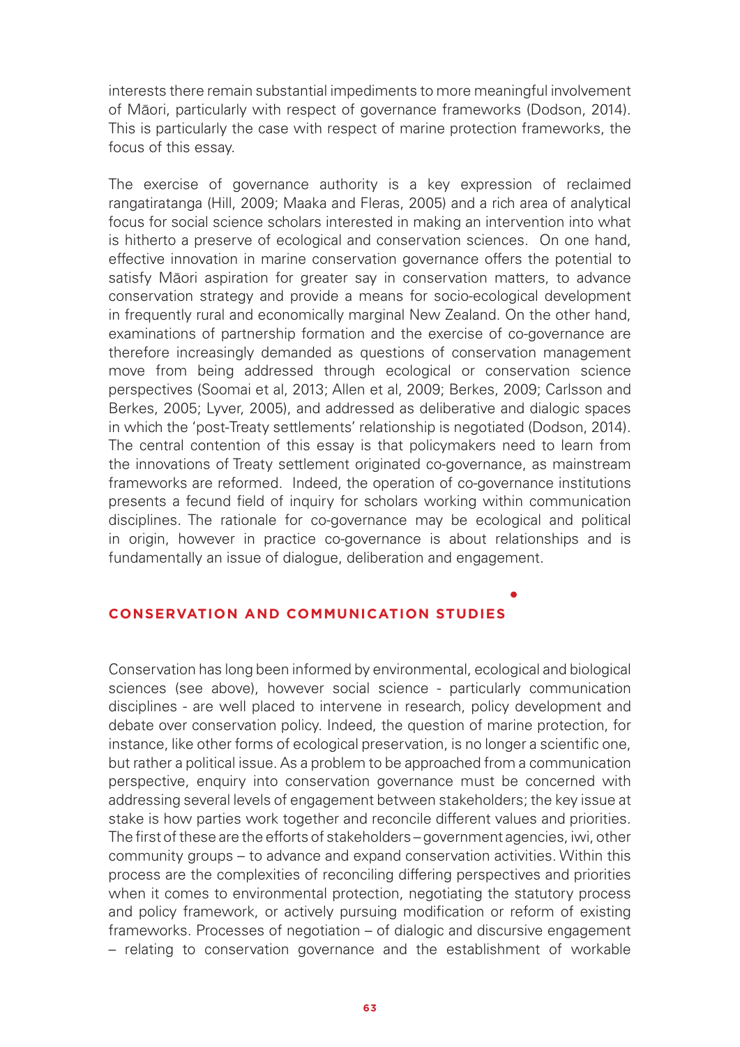interests there remain substantial impediments to more meaningful involvement of Māori, particularly with respect of governance frameworks (Dodson, 2014). This is particularly the case with respect of marine protection frameworks, the focus of this essay.

The exercise of governance authority is a key expression of reclaimed rangatiratanga (Hill, 2009; Maaka and Fleras, 2005) and a rich area of analytical focus for social science scholars interested in making an intervention into what is hitherto a preserve of ecological and conservation sciences. On one hand, effective innovation in marine conservation governance offers the potential to satisfy Māori aspiration for greater say in conservation matters, to advance conservation strategy and provide a means for socio-ecological development in frequently rural and economically marginal New Zealand. On the other hand, examinations of partnership formation and the exercise of co-governance are therefore increasingly demanded as questions of conservation management move from being addressed through ecological or conservation science perspectives (Soomai et al, 2013; Allen et al, 2009; Berkes, 2009; Carlsson and Berkes, 2005; Lyver, 2005), and addressed as deliberative and dialogic spaces in which the 'post-Treaty settlements' relationship is negotiated (Dodson, 2014). The central contention of this essay is that policymakers need to learn from the innovations of Treaty settlement originated co-governance, as mainstream frameworks are reformed. Indeed, the operation of co-governance institutions presents a fecund field of inquiry for scholars working within communication disciplines. The rationale for co-governance may be ecological and political in origin, however in practice co-governance is about relationships and is fundamentally an issue of dialogue, deliberation and engagement.

#### **CONSERVATION AND COMMUNICATION STUDIES**

Conservation has long been informed by environmental, ecological and biological sciences (see above), however social science - particularly communication disciplines - are well placed to intervene in research, policy development and debate over conservation policy. Indeed, the question of marine protection, for instance, like other forms of ecological preservation, is no longer a scientific one, but rather a political issue. As a problem to be approached from a communication perspective, enquiry into conservation governance must be concerned with addressing several levels of engagement between stakeholders; the key issue at stake is how parties work together and reconcile different values and priorities. The first of these are the efforts of stakeholders – government agencies, iwi, other community groups – to advance and expand conservation activities. Within this process are the complexities of reconciling differing perspectives and priorities when it comes to environmental protection, negotiating the statutory process and policy framework, or actively pursuing modification or reform of existing frameworks. Processes of negotiation – of dialogic and discursive engagement – relating to conservation governance and the establishment of workable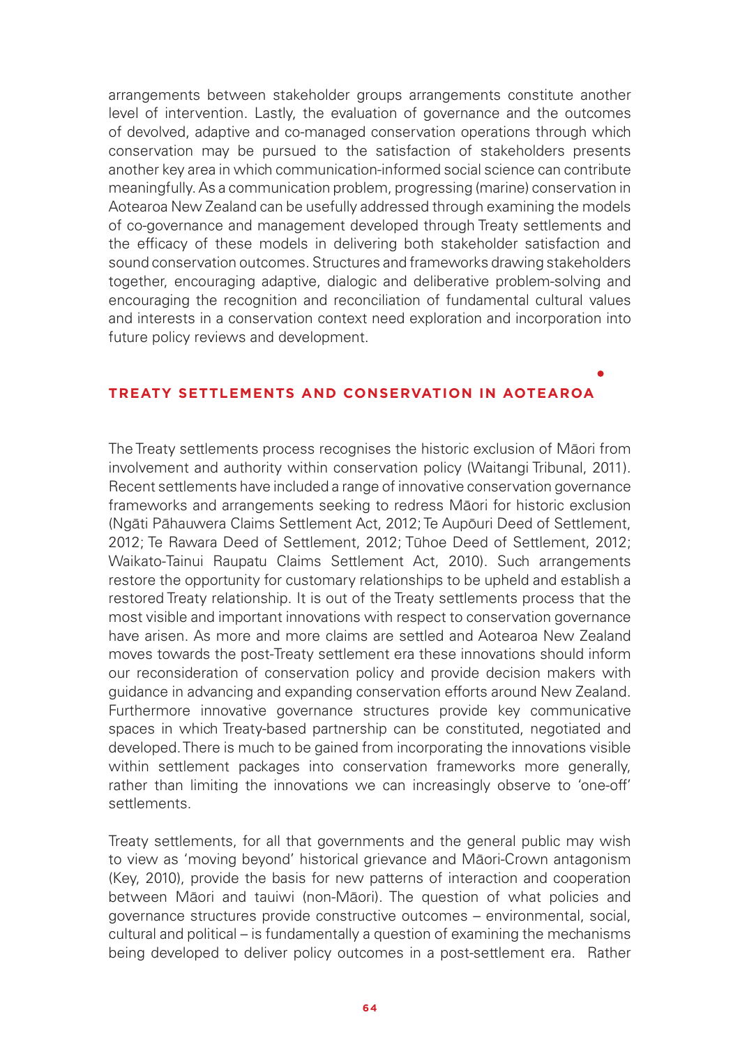arrangements between stakeholder groups arrangements constitute another level of intervention. Lastly, the evaluation of governance and the outcomes of devolved, adaptive and co-managed conservation operations through which conservation may be pursued to the satisfaction of stakeholders presents another key area in which communication-informed social science can contribute meaningfully. As a communication problem, progressing (marine) conservation in Aotearoa New Zealand can be usefully addressed through examining the models of co-governance and management developed through Treaty settlements and the efficacy of these models in delivering both stakeholder satisfaction and sound conservation outcomes. Structures and frameworks drawing stakeholders together, encouraging adaptive, dialogic and deliberative problem-solving and encouraging the recognition and reconciliation of fundamental cultural values and interests in a conservation context need exploration and incorporation into future policy reviews and development.

#### **TREATY SETTLEMENTS AND CONSERVATION IN AOTEAROA**

The Treaty settlements process recognises the historic exclusion of Māori from involvement and authority within conservation policy (Waitangi Tribunal, 2011). Recent settlements have included a range of innovative conservation governance frameworks and arrangements seeking to redress Māori for historic exclusion (Ngāti Pāhauwera Claims Settlement Act, 2012; Te Aupōuri Deed of Settlement, 2012; Te Rawara Deed of Settlement, 2012; Tūhoe Deed of Settlement, 2012; Waikato-Tainui Raupatu Claims Settlement Act, 2010). Such arrangements restore the opportunity for customary relationships to be upheld and establish a restored Treaty relationship. It is out of the Treaty settlements process that the most visible and important innovations with respect to conservation governance have arisen. As more and more claims are settled and Aotearoa New Zealand moves towards the post-Treaty settlement era these innovations should inform our reconsideration of conservation policy and provide decision makers with guidance in advancing and expanding conservation efforts around New Zealand. Furthermore innovative governance structures provide key communicative spaces in which Treaty-based partnership can be constituted, negotiated and developed. There is much to be gained from incorporating the innovations visible within settlement packages into conservation frameworks more generally, rather than limiting the innovations we can increasingly observe to 'one-off' settlements.

Treaty settlements, for all that governments and the general public may wish to view as 'moving beyond' historical grievance and Māori-Crown antagonism (Key, 2010), provide the basis for new patterns of interaction and cooperation between Māori and tauiwi (non-Māori). The question of what policies and governance structures provide constructive outcomes – environmental, social, cultural and political – is fundamentally a question of examining the mechanisms being developed to deliver policy outcomes in a post-settlement era. Rather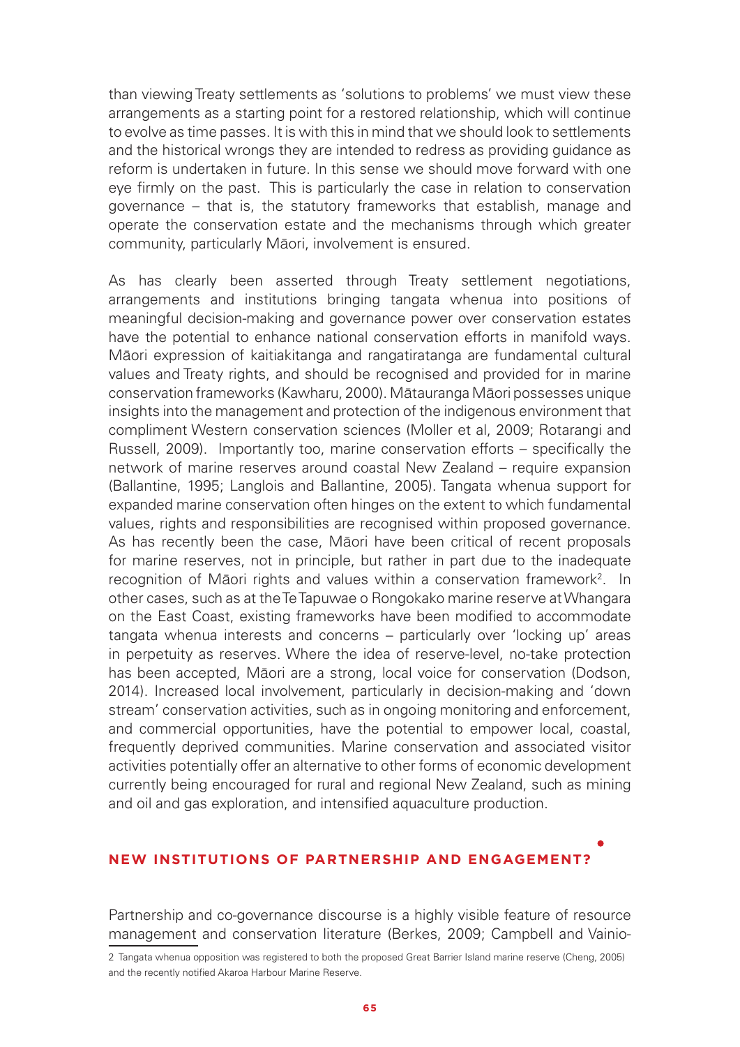than viewing Treaty settlements as 'solutions to problems' we must view these arrangements as a starting point for a restored relationship, which will continue to evolve as time passes. It is with this in mind that we should look to settlements and the historical wrongs they are intended to redress as providing guidance as reform is undertaken in future. In this sense we should move forward with one eye firmly on the past. This is particularly the case in relation to conservation governance – that is, the statutory frameworks that establish, manage and operate the conservation estate and the mechanisms through which greater community, particularly Māori, involvement is ensured.

As has clearly been asserted through Treaty settlement negotiations, arrangements and institutions bringing tangata whenua into positions of meaningful decision-making and governance power over conservation estates have the potential to enhance national conservation efforts in manifold ways. Māori expression of kaitiakitanga and rangatiratanga are fundamental cultural values and Treaty rights, and should be recognised and provided for in marine conservation frameworks (Kawharu, 2000). Mātauranga Māori possesses unique insights into the management and protection of the indigenous environment that compliment Western conservation sciences (Moller et al, 2009; Rotarangi and Russell, 2009). Importantly too, marine conservation efforts – specifically the network of marine reserves around coastal New Zealand – require expansion (Ballantine, 1995; Langlois and Ballantine, 2005). Tangata whenua support for expanded marine conservation often hinges on the extent to which fundamental values, rights and responsibilities are recognised within proposed governance. As has recently been the case, Māori have been critical of recent proposals for marine reserves, not in principle, but rather in part due to the inadequate recognition of Māori rights and values within a conservation framework<sup>2</sup>. In other cases, such as at the Te Tapuwae o Rongokako marine reserve at Whangara on the East Coast, existing frameworks have been modified to accommodate tangata whenua interests and concerns – particularly over 'locking up' areas in perpetuity as reserves. Where the idea of reserve-level, no-take protection has been accepted, Māori are a strong, local voice for conservation (Dodson, 2014). Increased local involvement, particularly in decision-making and 'down stream' conservation activities, such as in ongoing monitoring and enforcement, and commercial opportunities, have the potential to empower local, coastal, frequently deprived communities. Marine conservation and associated visitor activities potentially offer an alternative to other forms of economic development currently being encouraged for rural and regional New Zealand, such as mining and oil and gas exploration, and intensified aquaculture production.

### **NEW INSTITUTIONS OF PARTNERSHIP AND ENGAGEMENT?**

Partnership and co-governance discourse is a highly visible feature of resource management and conservation literature (Berkes, 2009; Campbell and Vainio-

<sup>2</sup> Tangata whenua opposition was registered to both the proposed Great Barrier Island marine reserve (Cheng, 2005) and the recently notified Akaroa Harbour Marine Reserve.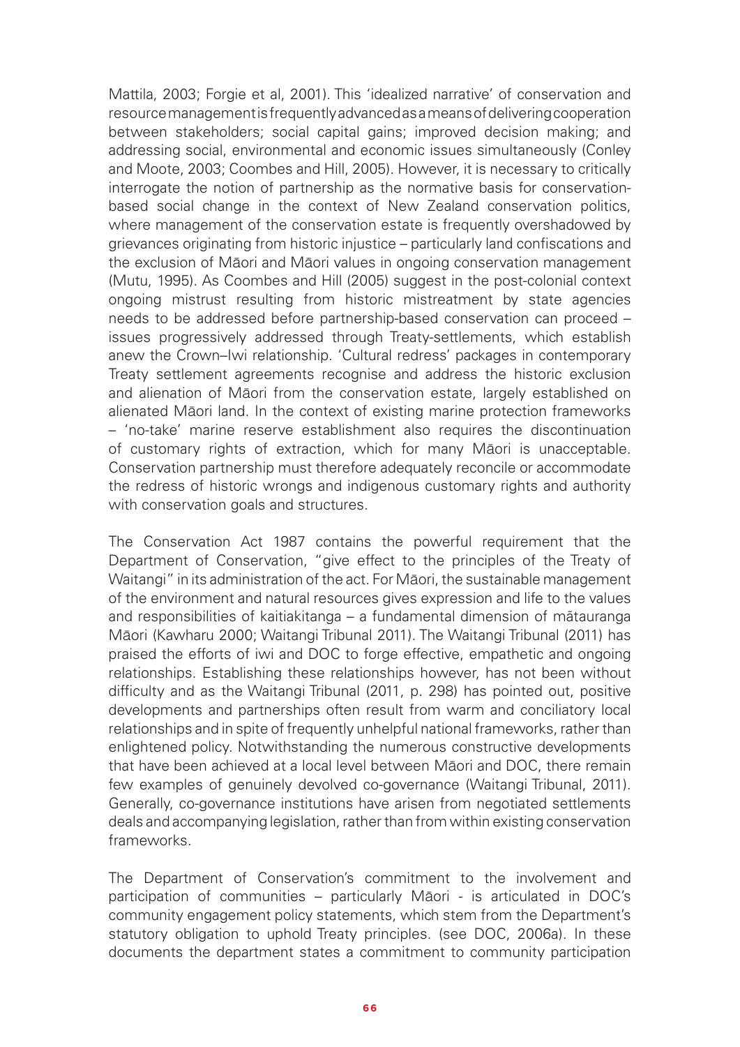Mattila, 2003; Forgie et al, 2001). This 'idealized narrative' of conservation and resource management is frequently advanced as a means of delivering cooperation between stakeholders; social capital gains; improved decision making; and addressing social, environmental and economic issues simultaneously (Conley and Moote, 2003; Coombes and Hill, 2005). However, it is necessary to critically interrogate the notion of partnership as the normative basis for conservationbased social change in the context of New Zealand conservation politics, where management of the conservation estate is frequently overshadowed by grievances originating from historic injustice – particularly land confiscations and the exclusion of Māori and Māori values in ongoing conservation management (Mutu, 1995). As Coombes and Hill (2005) suggest in the post-colonial context ongoing mistrust resulting from historic mistreatment by state agencies needs to be addressed before partnership-based conservation can proceed – issues progressively addressed through Treaty-settlements, which establish anew the Crown–Iwi relationship. 'Cultural redress' packages in contemporary Treaty settlement agreements recognise and address the historic exclusion and alienation of Māori from the conservation estate, largely established on alienated Māori land. In the context of existing marine protection frameworks – 'no-take' marine reserve establishment also requires the discontinuation of customary rights of extraction, which for many Māori is unacceptable. Conservation partnership must therefore adequately reconcile or accommodate the redress of historic wrongs and indigenous customary rights and authority with conservation goals and structures.

The Conservation Act 1987 contains the powerful requirement that the Department of Conservation, "give effect to the principles of the Treaty of Waitangi" in its administration of the act. For Māori, the sustainable management of the environment and natural resources gives expression and life to the values and responsibilities of kaitiakitanga – a fundamental dimension of mãtauranga Māori (Kawharu 2000; Waitangi Tribunal 2011). The Waitangi Tribunal (2011) has praised the efforts of iwi and DOC to forge effective, empathetic and ongoing relationships. Establishing these relationships however, has not been without difficulty and as the Waitangi Tribunal (2011, p. 298) has pointed out, positive developments and partnerships often result from warm and conciliatory local relationships and in spite of frequently unhelpful national frameworks, rather than enlightened policy. Notwithstanding the numerous constructive developments that have been achieved at a local level between Māori and DOC, there remain few examples of genuinely devolved co-governance (Waitangi Tribunal, 2011). Generally, co-governance institutions have arisen from negotiated settlements deals and accompanying legislation, rather than from within existing conservation frameworks.

The Department of Conservation's commitment to the involvement and participation of communities – particularly Māori - is articulated in DOC's community engagement policy statements, which stem from the Department's statutory obligation to uphold Treaty principles. (see DOC, 2006a). In these documents the department states a commitment to community participation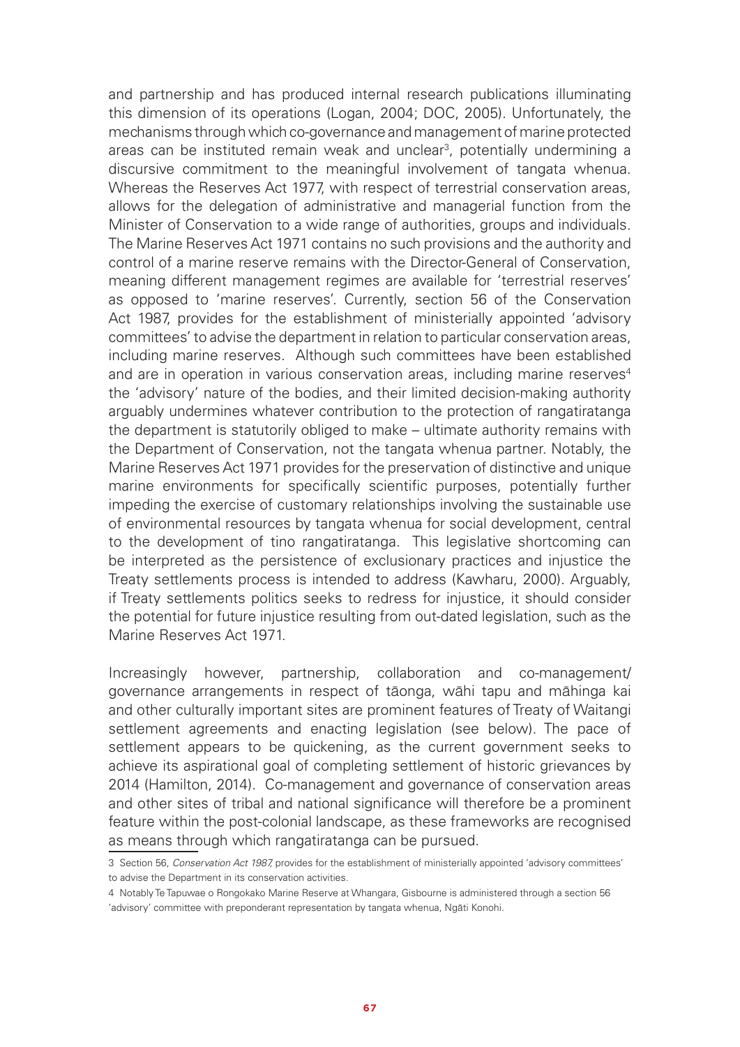and partnership and has produced internal research publications illuminating this dimension of its operations (Logan, 2004; DOC, 2005). Unfortunately, the mechanisms through which co-governance and management of marine protected areas can be instituted remain weak and unclear<sup>3</sup>, potentially undermining a discursive commitment to the meaningful involvement of tangata whenua. Whereas the Reserves Act 1977, with respect of terrestrial conservation areas, allows for the delegation of administrative and managerial function from the Minister of Conservation to a wide range of authorities, groups and individuals. The Marine Reserves Act 1971 contains no such provisions and the authority and control of a marine reserve remains with the Director-General of Conservation, meaning different management regimes are available for 'terrestrial reserves' as opposed to 'marine reserves'. Currently, section 56 of the Conservation Act 1987, provides for the establishment of ministerially appointed 'advisory committees' to advise the department in relation to particular conservation areas, including marine reserves. Although such committees have been established and are in operation in various conservation areas, including marine reserves<sup>4</sup> the 'advisory' nature of the bodies, and their limited decision-making authority arguably undermines whatever contribution to the protection of rangatiratanga the department is statutorily obliged to make – ultimate authority remains with the Department of Conservation, not the tangata whenua partner. Notably, the Marine Reserves Act 1971 provides for the preservation of distinctive and unique marine environments for specifically scientific purposes, potentially further impeding the exercise of customary relationships involving the sustainable use of environmental resources by tangata whenua for social development, central to the development of tino rangatiratanga. This legislative shortcoming can be interpreted as the persistence of exclusionary practices and injustice the Treaty settlements process is intended to address (Kawharu, 2000). Arguably, if Treaty settlements politics seeks to redress for injustice, it should consider the potential for future injustice resulting from out-dated legislation, such as the Marine Reserves Act 1971.

Increasingly however, partnership, collaboration and co-management/ governance arrangements in respect of tāonga, wāhi tapu and māhinga kai and other culturally important sites are prominent features of Treaty of Waitangi settlement agreements and enacting legislation (see below). The pace of settlement appears to be quickening, as the current government seeks to achieve its aspirational goal of completing settlement of historic grievances by 2014 (Hamilton, 2014). Co-management and governance of conservation areas and other sites of tribal and national significance will therefore be a prominent feature within the post-colonial landscape, as these frameworks are recognised as means through which rangatiratanga can be pursued.

<sup>3</sup> Section 56, *Conservation Act 1987,* provides for the establishment of ministerially appointed 'advisory committees' to advise the Department in its conservation activities.

<sup>4</sup> Notably Te Tapuwae o Rongokako Marine Reserve at Whangara, Gisbourne is administered through a section 56 'advisory' committee with preponderant representation by tangata whenua, Ngāti Konohi.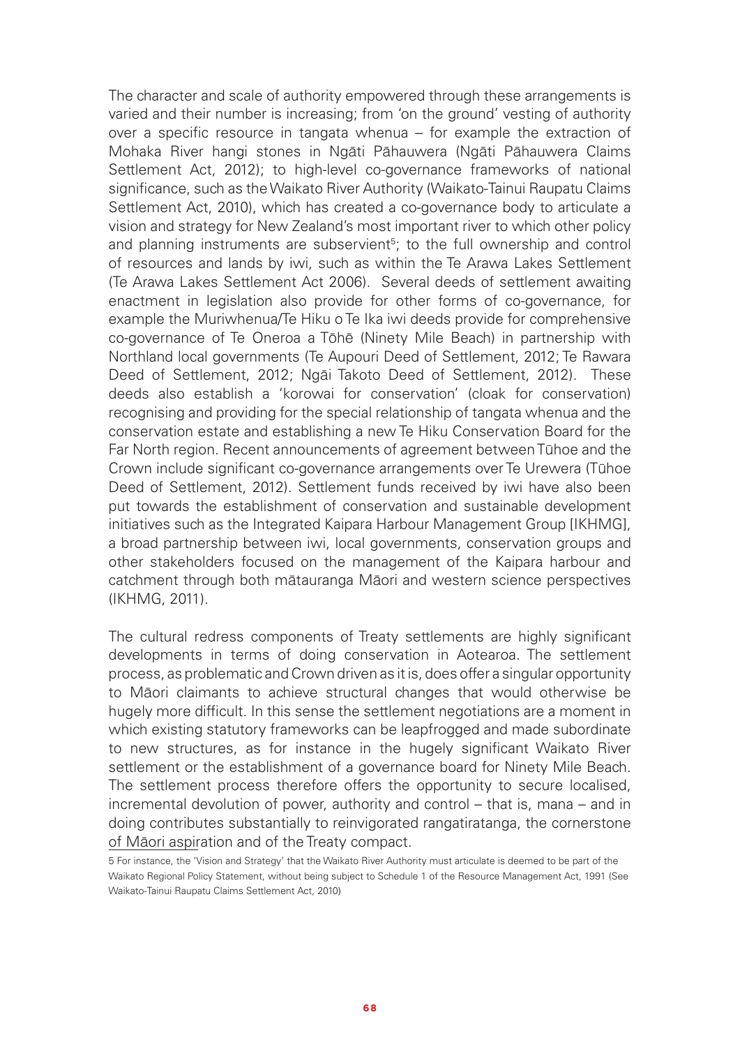The character and scale of authority empowered through these arrangements is varied and their number is increasing; from 'on the ground' vesting of authority over a specific resource in tangata whenua – for example the extraction of Mohaka River hangi stones in Ngāti Pāhauwera (Ngāti Pāhauwera Claims Settlement Act, 2012); to high-level co-governance frameworks of national significance, such as the Waikato River Authority (Waikato-Tainui Raupatu Claims Settlement Act, 2010), which has created a co-governance body to articulate a vision and strategy for New Zealand's most important river to which other policy and planning instruments are subservient<sup>5</sup>; to the full ownership and control of resources and lands by iwi, such as within the Te Arawa Lakes Settlement (Te Arawa Lakes Settlement Act 2006). Several deeds of settlement awaiting enactment in legislation also provide for other forms of co-governance, for example the Muriwhenua/Te Hiku o Te Ika iwi deeds provide for comprehensive co-governance of Te Oneroa a Tōhē (Ninety Mile Beach) in partnership with Northland local governments (Te Aupouri Deed of Settlement, 2012; Te Rawara Deed of Settlement, 2012; Ngāi Takoto Deed of Settlement, 2012). These deeds also establish a 'korowai for conservation' (cloak for conservation) recognising and providing for the special relationship of tangata whenua and the conservation estate and establishing a new Te Hiku Conservation Board for the Far North region. Recent announcements of agreement between Tūhoe and the Crown include significant co-governance arrangements over Te Urewera (Tūhoe Deed of Settlement, 2012). Settlement funds received by iwi have also been put towards the establishment of conservation and sustainable development initiatives such as the Integrated Kaipara Harbour Management Group [IKHMG], a broad partnership between iwi, local governments, conservation groups and other stakeholders focused on the management of the Kaipara harbour and catchment through both mātauranga Māori and western science perspectives (IKHMG, 2011).

The cultural redress components of Treaty settlements are highly significant developments in terms of doing conservation in Aotearoa. The settlement process, as problematic and Crown driven as it is, does offer a singular opportunity to Māori claimants to achieve structural changes that would otherwise be hugely more difficult. In this sense the settlement negotiations are a moment in which existing statutory frameworks can be leapfrogged and made subordinate to new structures, as for instance in the hugely significant Waikato River settlement or the establishment of a governance board for Ninety Mile Beach. The settlement process therefore offers the opportunity to secure localised, incremental devolution of power, authority and control – that is, mana – and in doing contributes substantially to reinvigorated rangatiratanga, the cornerstone of Māori aspiration and of the Treaty compact.

<sup>5</sup> For instance, the 'Vision and Strategy' that the Waikato River Authority must articulate is deemed to be part of the Waikato Regional Policy Statement, without being subject to Schedule 1 of the Resource Management Act, 1991 (See Waikato-Tainui Raupatu Claims Settlement Act, 2010)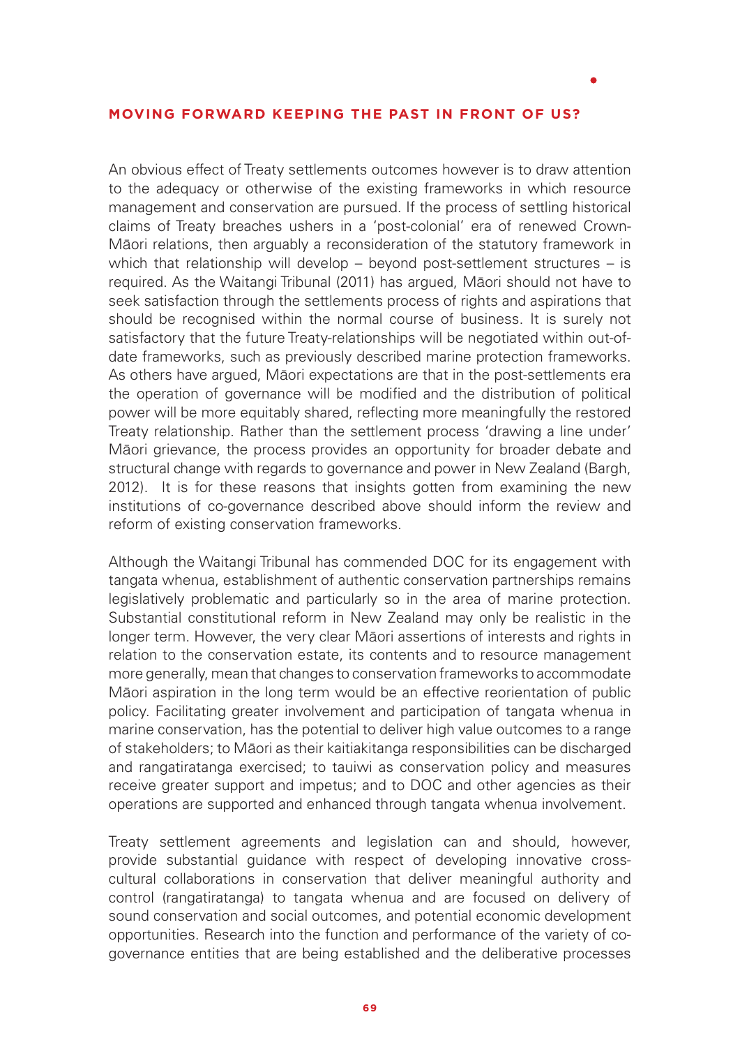#### **MOVING FORWARD KEEPING THE PAST IN FRONT OF US?**

An obvious effect of Treaty settlements outcomes however is to draw attention to the adequacy or otherwise of the existing frameworks in which resource management and conservation are pursued. If the process of settling historical claims of Treaty breaches ushers in a 'post-colonial' era of renewed Crown-Māori relations, then arguably a reconsideration of the statutory framework in which that relationship will develop – beyond post-settlement structures – is required. As the Waitangi Tribunal (2011) has argued, Māori should not have to seek satisfaction through the settlements process of rights and aspirations that should be recognised within the normal course of business. It is surely not satisfactory that the future Treaty-relationships will be negotiated within out-ofdate frameworks, such as previously described marine protection frameworks. As others have argued, Māori expectations are that in the post-settlements era the operation of governance will be modified and the distribution of political power will be more equitably shared, reflecting more meaningfully the restored Treaty relationship. Rather than the settlement process 'drawing a line under' Māori grievance, the process provides an opportunity for broader debate and structural change with regards to governance and power in New Zealand (Bargh, 2012). It is for these reasons that insights gotten from examining the new institutions of co-governance described above should inform the review and reform of existing conservation frameworks.

Although the Waitangi Tribunal has commended DOC for its engagement with tangata whenua, establishment of authentic conservation partnerships remains legislatively problematic and particularly so in the area of marine protection. Substantial constitutional reform in New Zealand may only be realistic in the longer term. However, the very clear Māori assertions of interests and rights in relation to the conservation estate, its contents and to resource management more generally, mean that changes to conservation frameworks to accommodate Māori aspiration in the long term would be an effective reorientation of public policy. Facilitating greater involvement and participation of tangata whenua in marine conservation, has the potential to deliver high value outcomes to a range of stakeholders; to Māori as their kaitiakitanga responsibilities can be discharged and rangatiratanga exercised; to tauiwi as conservation policy and measures receive greater support and impetus; and to DOC and other agencies as their operations are supported and enhanced through tangata whenua involvement.

Treaty settlement agreements and legislation can and should, however, provide substantial guidance with respect of developing innovative crosscultural collaborations in conservation that deliver meaningful authority and control (rangatiratanga) to tangata whenua and are focused on delivery of sound conservation and social outcomes, and potential economic development opportunities. Research into the function and performance of the variety of cogovernance entities that are being established and the deliberative processes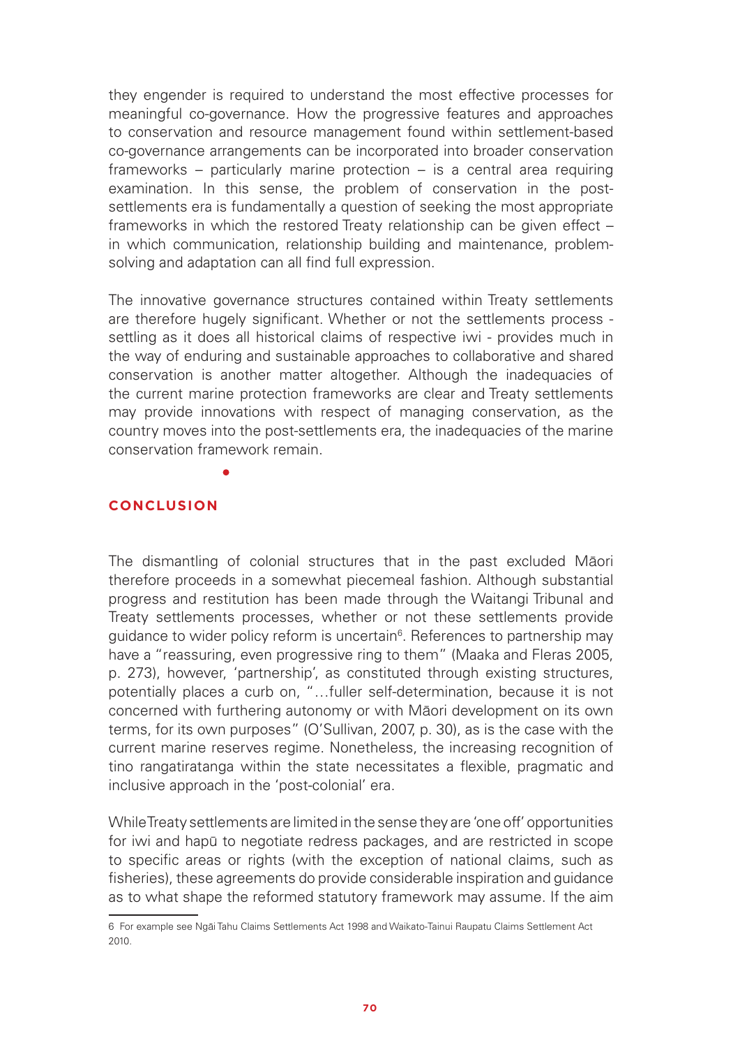they engender is required to understand the most effective processes for meaningful co-governance. How the progressive features and approaches to conservation and resource management found within settlement-based co-governance arrangements can be incorporated into broader conservation frameworks – particularly marine protection – is a central area requiring examination. In this sense, the problem of conservation in the postsettlements era is fundamentally a question of seeking the most appropriate frameworks in which the restored Treaty relationship can be given effect – in which communication, relationship building and maintenance, problemsolving and adaptation can all find full expression.

The innovative governance structures contained within Treaty settlements are therefore hugely significant. Whether or not the settlements process settling as it does all historical claims of respective iwi - provides much in the way of enduring and sustainable approaches to collaborative and shared conservation is another matter altogether. Although the inadequacies of the current marine protection frameworks are clear and Treaty settlements may provide innovations with respect of managing conservation, as the country moves into the post-settlements era, the inadequacies of the marine conservation framework remain.

#### **CONCLUSION**

The dismantling of colonial structures that in the past excluded Māori therefore proceeds in a somewhat piecemeal fashion. Although substantial progress and restitution has been made through the Waitangi Tribunal and Treaty settlements processes, whether or not these settlements provide guidance to wider policy reform is uncertain<sup>6</sup>. References to partnership may have a "reassuring, even progressive ring to them" (Maaka and Fleras 2005, p. 273), however, 'partnership', as constituted through existing structures, potentially places a curb on, "…fuller self-determination, because it is not concerned with furthering autonomy or with Māori development on its own terms, for its own purposes" (O'Sullivan, 2007, p. 30), as is the case with the current marine reserves regime. Nonetheless, the increasing recognition of tino rangatiratanga within the state necessitates a flexible, pragmatic and inclusive approach in the 'post-colonial' era.

While Treaty settlements are limited in the sense they are 'one off' opportunities for iwi and hapū to negotiate redress packages, and are restricted in scope to specific areas or rights (with the exception of national claims, such as fisheries), these agreements do provide considerable inspiration and guidance as to what shape the reformed statutory framework may assume. If the aim

<sup>6</sup> For example see Ngāi Tahu Claims Settlements Act 1998 and Waikato-Tainui Raupatu Claims Settlement Act 2010.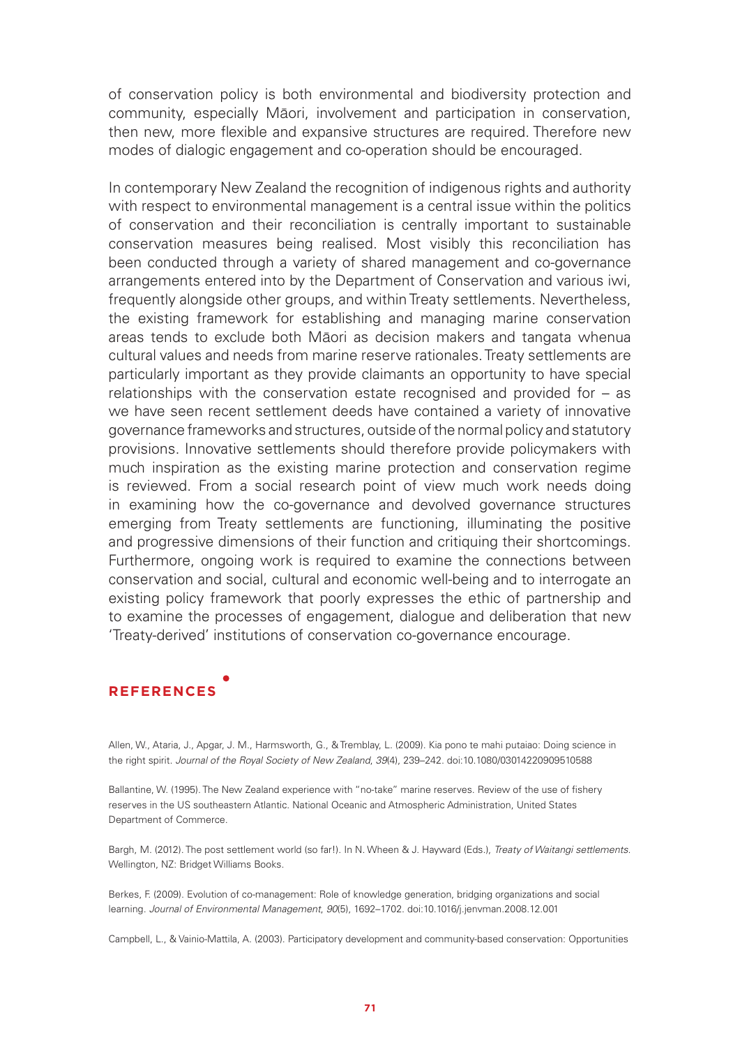of conservation policy is both environmental and biodiversity protection and community, especially Māori, involvement and participation in conservation, then new, more flexible and expansive structures are required. Therefore new modes of dialogic engagement and co-operation should be encouraged.

In contemporary New Zealand the recognition of indigenous rights and authority with respect to environmental management is a central issue within the politics of conservation and their reconciliation is centrally important to sustainable conservation measures being realised. Most visibly this reconciliation has been conducted through a variety of shared management and co-governance arrangements entered into by the Department of Conservation and various iwi, frequently alongside other groups, and within Treaty settlements. Nevertheless, the existing framework for establishing and managing marine conservation areas tends to exclude both Māori as decision makers and tangata whenua cultural values and needs from marine reserve rationales. Treaty settlements are particularly important as they provide claimants an opportunity to have special relationships with the conservation estate recognised and provided for – as we have seen recent settlement deeds have contained a variety of innovative governance frameworks and structures, outside of the normal policy and statutory provisions. Innovative settlements should therefore provide policymakers with much inspiration as the existing marine protection and conservation regime is reviewed. From a social research point of view much work needs doing in examining how the co-governance and devolved governance structures emerging from Treaty settlements are functioning, illuminating the positive and progressive dimensions of their function and critiquing their shortcomings. Furthermore, ongoing work is required to examine the connections between conservation and social, cultural and economic well-being and to interrogate an existing policy framework that poorly expresses the ethic of partnership and to examine the processes of engagement, dialogue and deliberation that new 'Treaty-derived' institutions of conservation co-governance encourage.

# **REFERENCES**

Allen, W., Ataria, J., Apgar, J. M., Harmsworth, G., & Tremblay, L. (2009). Kia pono te mahi putaiao: Doing science in the right spirit. *Journal of the Royal Society of New Zealand*, *39*(4), 239–242. doi:10.1080/03014220909510588

Ballantine, W. (1995). The New Zealand experience with "no-take" marine reserves. Review of the use of fishery reserves in the US southeastern Atlantic. National Oceanic and Atmospheric Administration, United States Department of Commerce.

Bargh, M. (2012). The post settlement world (so far!). In N. Wheen & J. Hayward (Eds.), *Treaty of Waitangi settlements*. Wellington, NZ: Bridget Williams Books.

Berkes, F. (2009). Evolution of co-management: Role of knowledge generation, bridging organizations and social learning. *Journal of Environmental Management*, *90*(5), 1692–1702. doi:10.1016/j.jenvman.2008.12.001

Campbell, L., & Vainio-Mattila, A. (2003). Participatory development and community-based conservation: Opportunities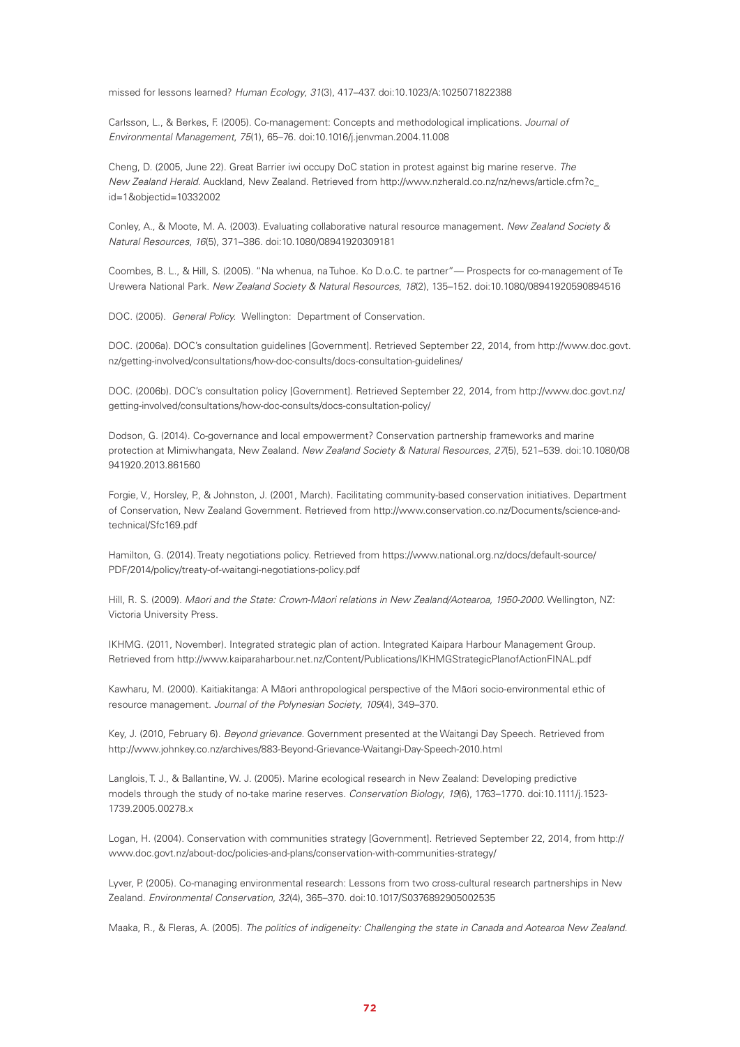missed for lessons learned? *Human Ecology*, *31*(3), 417–437. doi:10.1023/A:1025071822388

Carlsson, L., & Berkes, F. (2005). Co-management: Concepts and methodological implications. *Journal of Environmental Management*, *75*(1), 65–76. doi:10.1016/j.jenvman.2004.11.008

Cheng, D. (2005, June 22). Great Barrier iwi occupy DoC station in protest against big marine reserve. *The New Zealand Herald*. Auckland, New Zealand. Retrieved from http://www.nzherald.co.nz/nz/news/article.cfm?c\_ id=1&objectid=10332002

Conley, A., & Moote, M. A. (2003). Evaluating collaborative natural resource management. *New Zealand Society & Natural Resources*, *16*(5), 371–386. doi:10.1080/08941920309181

Coombes, B. L., & Hill, S. (2005). "Na whenua, na Tuhoe. Ko D.o.C. te partner"— Prospects for co-management of Te Urewera National Park. *New Zealand Society & Natural Resources*, *18*(2), 135–152. doi:10.1080/08941920590894516

DOC. (2005). *General Policy.* Wellington: Department of Conservation.

DOC. (2006a). DOC's consultation guidelines [Government]. Retrieved September 22, 2014, from http://www.doc.govt. nz/getting-involved/consultations/how-doc-consults/docs-consultation-guidelines/

DOC. (2006b). DOC's consultation policy [Government]. Retrieved September 22, 2014, from http://www.doc.govt.nz/ getting-involved/consultations/how-doc-consults/docs-consultation-policy/

Dodson, G. (2014). Co-governance and local empowerment? Conservation partnership frameworks and marine protection at Mimiwhangata, New Zealand. *New Zealand Society & Natural Resources*, *27*(5), 521–539. doi:10.1080/08 941920.2013.861560

Forgie, V., Horsley, P., & Johnston, J. (2001, March). Facilitating community-based conservation initiatives. Department of Conservation, New Zealand Government. Retrieved from http://www.conservation.co.nz/Documents/science-andtechnical/Sfc169.pdf

Hamilton, G. (2014). Treaty negotiations policy. Retrieved from https://www.national.org.nz/docs/default-source/ PDF/2014/policy/treaty-of-waitangi-negotiations-policy.pdf

Hill, R. S. (2009). *M*ā*ori and the State: Crown-M*ā*ori relations in New Zealand/Aotearoa, 1950-2000*. Wellington, NZ: Victoria University Press.

IKHMG. (2011, November). Integrated strategic plan of action. Integrated Kaipara Harbour Management Group. Retrieved from http://www.kaiparaharbour.net.nz/Content/Publications/IKHMGStrategicPlanofActionFINAL.pdf

Kawharu, M. (2000). Kaitiakitanga: A Māori anthropological perspective of the Māori socio-environmental ethic of resource management. *Journal of the Polynesian Society*, *109*(4), 349–370.

Key, J. (2010, February 6). *Beyond grievance*. Government presented at the Waitangi Day Speech. Retrieved from http://www.johnkey.co.nz/archives/883-Beyond-Grievance-Waitangi-Day-Speech-2010.html

Langlois, T. J., & Ballantine, W. J. (2005). Marine ecological research in New Zealand: Developing predictive models through the study of no-take marine reserves. *Conservation Biology*, *19*(6), 1763–1770. doi:10.1111/j.1523- 1739.2005.00278.x

Logan, H. (2004). Conservation with communities strategy [Government]. Retrieved September 22, 2014, from http:// www.doc.govt.nz/about-doc/policies-and-plans/conservation-with-communities-strategy/

Lyver, P. (2005). Co-managing environmental research: Lessons from two cross-cultural research partnerships in New Zealand. *Environmental Conservation*, *32*(4), 365–370. doi:10.1017/S0376892905002535

Maaka, R., & Fleras, A. (2005). *The politics of indigeneity: Challenging the state in Canada and Aotearoa New Zealand*.